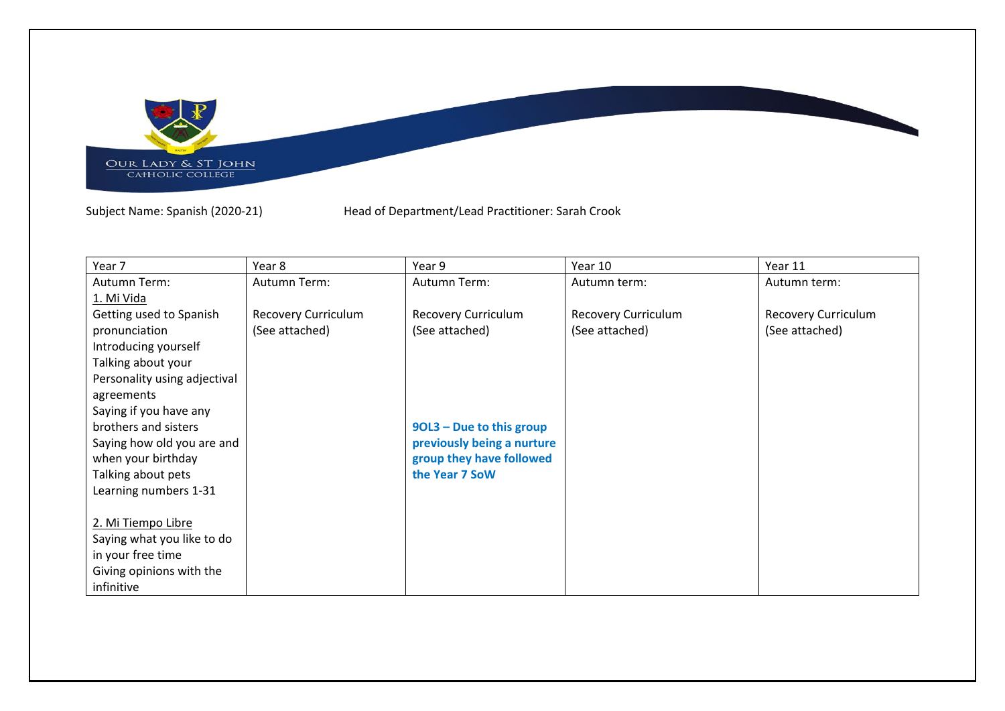

Subject Name: Spanish (2020-21) Head of Department/Lead Practitioner: Sarah Crook

| Year 7                       | Year 8              | Year 9                     | Year 10                    | Year 11             |
|------------------------------|---------------------|----------------------------|----------------------------|---------------------|
| Autumn Term:                 | Autumn Term:        | Autumn Term:               | Autumn term:               | Autumn term:        |
| 1. Mi Vida                   |                     |                            |                            |                     |
| Getting used to Spanish      | Recovery Curriculum | <b>Recovery Curriculum</b> | <b>Recovery Curriculum</b> | Recovery Curriculum |
| pronunciation                | (See attached)      | (See attached)             | (See attached)             | (See attached)      |
| Introducing yourself         |                     |                            |                            |                     |
| Talking about your           |                     |                            |                            |                     |
| Personality using adjectival |                     |                            |                            |                     |
| agreements                   |                     |                            |                            |                     |
| Saying if you have any       |                     |                            |                            |                     |
| brothers and sisters         |                     | 90L3 - Due to this group   |                            |                     |
| Saying how old you are and   |                     | previously being a nurture |                            |                     |
| when your birthday           |                     | group they have followed   |                            |                     |
| Talking about pets           |                     | the Year 7 SoW             |                            |                     |
| Learning numbers 1-31        |                     |                            |                            |                     |
|                              |                     |                            |                            |                     |
| 2. Mi Tiempo Libre           |                     |                            |                            |                     |
| Saying what you like to do   |                     |                            |                            |                     |
| in your free time            |                     |                            |                            |                     |
| Giving opinions with the     |                     |                            |                            |                     |
| infinitive                   |                     |                            |                            |                     |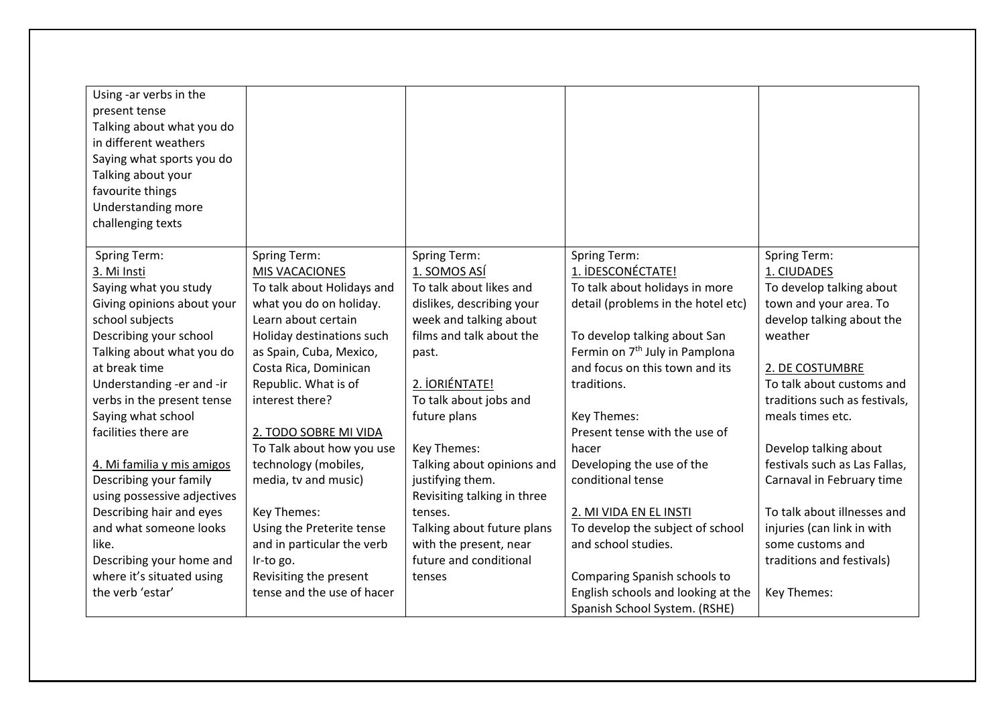| Using -ar verbs in the<br>present tense<br>Talking about what you do<br>in different weathers<br>Saying what sports you do<br>Talking about your<br>favourite things<br>Understanding more<br>challenging texts |                            |                             |                                            |                               |
|-----------------------------------------------------------------------------------------------------------------------------------------------------------------------------------------------------------------|----------------------------|-----------------------------|--------------------------------------------|-------------------------------|
|                                                                                                                                                                                                                 |                            |                             |                                            |                               |
| <b>Spring Term:</b>                                                                                                                                                                                             | <b>Spring Term:</b>        | <b>Spring Term:</b>         | <b>Spring Term:</b>                        | <b>Spring Term:</b>           |
| 3. Mi Insti                                                                                                                                                                                                     | MIS VACACIONES             | 1. SOMOS ASÍ                | 1. IDESCONÉCTATE!                          | 1. CIUDADES                   |
| Saying what you study                                                                                                                                                                                           | To talk about Holidays and | To talk about likes and     | To talk about holidays in more             | To develop talking about      |
| Giving opinions about your                                                                                                                                                                                      | what you do on holiday.    | dislikes, describing your   | detail (problems in the hotel etc)         | town and your area. To        |
| school subjects                                                                                                                                                                                                 | Learn about certain        | week and talking about      |                                            | develop talking about the     |
| Describing your school                                                                                                                                                                                          | Holiday destinations such  | films and talk about the    | To develop talking about San               | weather                       |
| Talking about what you do                                                                                                                                                                                       | as Spain, Cuba, Mexico,    | past.                       | Fermin on 7 <sup>th</sup> July in Pamplona |                               |
| at break time                                                                                                                                                                                                   | Costa Rica, Dominican      |                             | and focus on this town and its             | 2. DE COSTUMBRE               |
| Understanding -er and -ir                                                                                                                                                                                       | Republic. What is of       | 2. IORIÉNTATE!              | traditions.                                | To talk about customs and     |
| verbs in the present tense                                                                                                                                                                                      | interest there?            | To talk about jobs and      |                                            | traditions such as festivals, |
| Saying what school                                                                                                                                                                                              |                            | future plans                | Key Themes:                                | meals times etc.              |
| facilities there are                                                                                                                                                                                            | 2. TODO SOBRE MI VIDA      |                             | Present tense with the use of              |                               |
|                                                                                                                                                                                                                 | To Talk about how you use  | Key Themes:                 | hacer                                      | Develop talking about         |
| 4. Mi familia y mis amigos                                                                                                                                                                                      | technology (mobiles,       | Talking about opinions and  | Developing the use of the                  | festivals such as Las Fallas, |
| Describing your family                                                                                                                                                                                          | media, tv and music)       | justifying them.            | conditional tense                          | Carnaval in February time     |
| using possessive adjectives                                                                                                                                                                                     |                            | Revisiting talking in three |                                            |                               |
| Describing hair and eyes                                                                                                                                                                                        | Key Themes:                | tenses.                     | 2. MI VIDA EN EL INSTI                     | To talk about illnesses and   |
| and what someone looks                                                                                                                                                                                          | Using the Preterite tense  | Talking about future plans  | To develop the subject of school           | injuries (can link in with    |
| like.                                                                                                                                                                                                           | and in particular the verb | with the present, near      | and school studies.                        | some customs and              |
| Describing your home and                                                                                                                                                                                        | Ir-to go.                  | future and conditional      |                                            | traditions and festivals)     |
| where it's situated using                                                                                                                                                                                       | Revisiting the present     | tenses                      | Comparing Spanish schools to               |                               |
| the verb 'estar'                                                                                                                                                                                                | tense and the use of hacer |                             | English schools and looking at the         | Key Themes:                   |
|                                                                                                                                                                                                                 |                            |                             | Spanish School System. (RSHE)              |                               |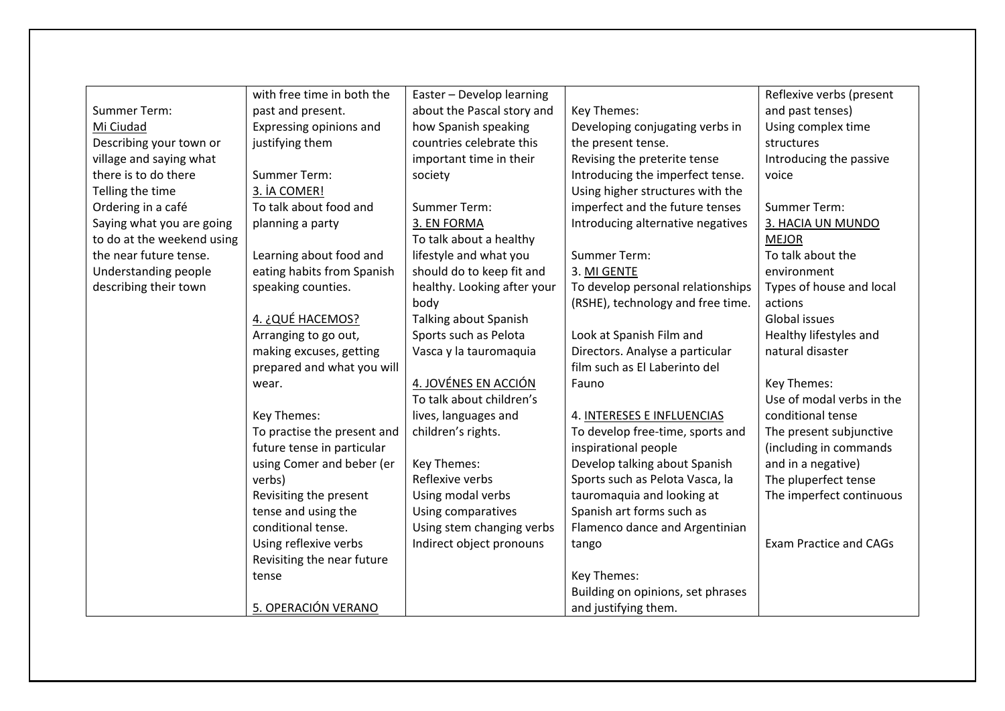|                            | with free time in both the  | Easter - Develop learning   |                                   | Reflexive verbs (present      |
|----------------------------|-----------------------------|-----------------------------|-----------------------------------|-------------------------------|
| Summer Term:               | past and present.           | about the Pascal story and  | Key Themes:                       | and past tenses)              |
| Mi Ciudad                  | Expressing opinions and     | how Spanish speaking        | Developing conjugating verbs in   | Using complex time            |
| Describing your town or    | justifying them             | countries celebrate this    | the present tense.                | structures                    |
| village and saying what    |                             | important time in their     | Revising the preterite tense      | Introducing the passive       |
| there is to do there       | <b>Summer Term:</b>         | society                     | Introducing the imperfect tense.  | voice                         |
| Telling the time           | 3. İA COMER!                |                             | Using higher structures with the  |                               |
| Ordering in a café         | To talk about food and      | Summer Term:                | imperfect and the future tenses   | <b>Summer Term:</b>           |
| Saying what you are going  | planning a party            | 3. EN FORMA                 | Introducing alternative negatives | 3. HACIA UN MUNDO             |
| to do at the weekend using |                             | To talk about a healthy     |                                   | <b>MEJOR</b>                  |
| the near future tense.     | Learning about food and     | lifestyle and what you      | Summer Term:                      | To talk about the             |
| Understanding people       | eating habits from Spanish  | should do to keep fit and   | 3. MI GENTE                       | environment                   |
| describing their town      | speaking counties.          | healthy. Looking after your | To develop personal relationships | Types of house and local      |
|                            |                             | body                        | (RSHE), technology and free time. | actions                       |
|                            | <u>4. ¿QUÉ HACEMOS?</u>     | Talking about Spanish       |                                   | Global issues                 |
|                            | Arranging to go out,        | Sports such as Pelota       | Look at Spanish Film and          | Healthy lifestyles and        |
|                            | making excuses, getting     | Vasca y la tauromaquia      | Directors. Analyse a particular   | natural disaster              |
|                            | prepared and what you will  |                             | film such as El Laberinto del     |                               |
|                            | wear.                       | 4. JOVÉNES EN ACCIÓN        | Fauno                             | Key Themes:                   |
|                            |                             | To talk about children's    |                                   | Use of modal verbs in the     |
|                            | Key Themes:                 | lives, languages and        | 4. INTERESES E INFLUENCIAS        | conditional tense             |
|                            | To practise the present and | children's rights.          | To develop free-time, sports and  | The present subjunctive       |
|                            | future tense in particular  |                             | inspirational people              | (including in commands        |
|                            | using Comer and beber (er   | Key Themes:                 | Develop talking about Spanish     | and in a negative)            |
|                            | verbs)                      | Reflexive verbs             | Sports such as Pelota Vasca, la   | The pluperfect tense          |
|                            | Revisiting the present      | Using modal verbs           | tauromaquia and looking at        | The imperfect continuous      |
|                            | tense and using the         | Using comparatives          | Spanish art forms such as         |                               |
|                            | conditional tense.          | Using stem changing verbs   | Flamenco dance and Argentinian    |                               |
|                            | Using reflexive verbs       | Indirect object pronouns    | tango                             | <b>Exam Practice and CAGs</b> |
|                            | Revisiting the near future  |                             |                                   |                               |
|                            | tense                       |                             | Key Themes:                       |                               |
|                            |                             |                             | Building on opinions, set phrases |                               |
|                            | 5. OPERACIÓN VERANO         |                             | and justifying them.              |                               |